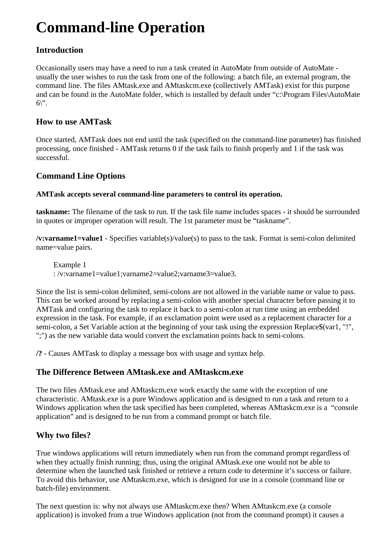# **Command-line Operation**

## **Introduction**

Occasionally users may have a need to run a task created in AutoMate from outside of AutoMate usually the user wishes to run the task from one of the following: a batch file, an external program, the command line. The files AMtask.exe and AMtaskcm.exe (collectively AMTask) exist for this purpose and can be found in the AutoMate folder, which is installed by default under "c:\Program Files\AutoMate  $6\$ 

## **How to use AMTask**

Once started, AMTask does not end until the task (specified on the command-line parameter) has finished processing, once finished - AMTask returns 0 if the task fails to finish properly and 1 if the task was successful.

## **Command Line Options**

## **AMTask accepts several command-line parameters to control its operation.**

**taskname:** The filename of the task to run. If the task file name includes spaces - it should be surrounded in quotes or improper operation will result. The 1st parameter must be "taskname".

**/v:varname1=value1** - Specifies variable(s)/value(s) to pass to the task. Format is semi-colon delimited name=value pairs.

Example 1 : /v:varname1=value1;varname2=value2;varname3=value3.

Since the list is semi-colon delimited, semi-colons are not allowed in the variable name or value to pass. This can be worked around by replacing a semi-colon with another special character before passing it to AMTask and configuring the task to replace it back to a semi-colon at run time using an embedded expression in the task. For example, if an exclamation point were used as a replacement character for a semi-colon, a Set Variable action at the beginning of your task using the expression Replace\$(var1, "!", ";") as the new variable data would convert the exclamation points back to semi-colons.

**/?** - Causes AMTask to display a message box with usage and syntax help.

# **The Difference Between AMtask.exe and AMtaskcm.exe**

The two files AMtask.exe and AMtaskcm.exe work exactly the same with the exception of one characteristic. AMtask.exe is a pure Windows application and is designed to run a task and return to a Windows application when the task specified has been completed, whereas AMtaskcm.exe is a "console application" and is designed to be run from a command prompt or batch file.

# **Why two files?**

True windows applications will return immediately when run from the command prompt regardless of when they actually finish running; thus, using the original AMtask.exe one would not be able to determine when the launched task finished or retrieve a return code to determine it's success or failure. To avoid this behavior, use AMtaskcm.exe, which is designed for use in a console (command line or batch-file) environment.

The next question is: why not always use AMtaskcm.exe then? When AMtaskcm.exe (a console application) is invoked from a true Windows application (not from the command prompt) it causes a